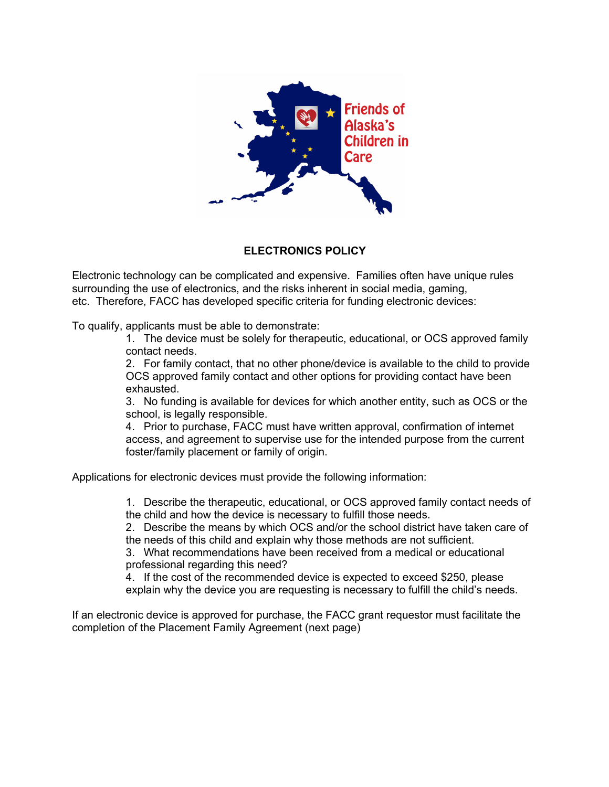

## **ELECTRONICS POLICY**

Electronic technology can be complicated and expensive. Families often have unique rules surrounding the use of electronics, and the risks inherent in social media, gaming, etc. Therefore, FACC has developed specific criteria for funding electronic devices:

To qualify, applicants must be able to demonstrate:

1. The device must be solely for therapeutic, educational, or OCS approved family contact needs.

2. For family contact, that no other phone/device is available to the child to provide OCS approved family contact and other options for providing contact have been exhausted.

3. No funding is available for devices for which another entity, such as OCS or the school, is legally responsible.

4. Prior to purchase, FACC must have written approval, confirmation of internet access, and agreement to supervise use for the intended purpose from the current foster/family placement or family of origin.

Applications for electronic devices must provide the following information:

1. Describe the therapeutic, educational, or OCS approved family contact needs of the child and how the device is necessary to fulfill those needs.

2. Describe the means by which OCS and/or the school district have taken care of the needs of this child and explain why those methods are not sufficient.

3. What recommendations have been received from a medical or educational professional regarding this need?

4. If the cost of the recommended device is expected to exceed \$250, please explain why the device you are requesting is necessary to fulfill the child's needs.

If an electronic device is approved for purchase, the FACC grant requestor must facilitate the completion of the Placement Family Agreement (next page)